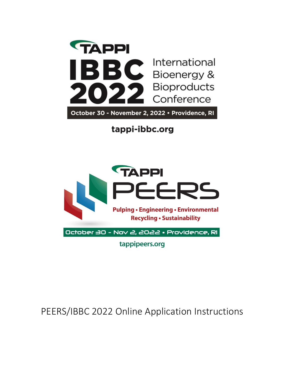

tappi-ibbc.org



PEERS/IBBC 2022 Online Application Instructions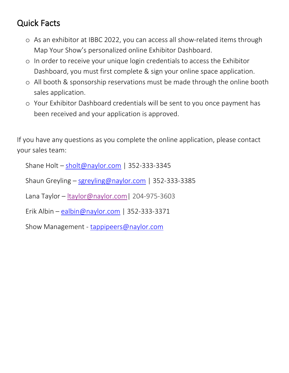# Quick Facts

- o As an exhibitor at IBBC 2022, you can access all show-related items through Map Your Show's personalized online Exhibitor Dashboard.
- o In order to receive your unique login credentials to access the Exhibitor Dashboard, you must first complete & sign your online space application.
- o All booth & sponsorship reservations must be made through the online booth sales application.
- o Your Exhibitor Dashboard credentials will be sent to you once payment has been received and your application is approved.

If you have any questions as you complete the online application, please contact your sales team:

Shane Holt – [sholt@naylor.com](mailto:sholt@naylor.com) | 352-333-3345

Shaun Greyling – [sgreyling@naylor.com](mailto:sgreyling@naylor.com) | 352-333-3385

Lana Taylor – [ltaylor@naylor.com|](mailto:ltaylor@naylor.com) [204-975-3603](tel:(204)%20975-3603)

Erik Albin – [ealbin@naylor.com](mailto:ealbin@naylor.com) | 352-333-3371

Show Management - [tappipeers@naylor.com](mailto:tappipeers@naylor.com)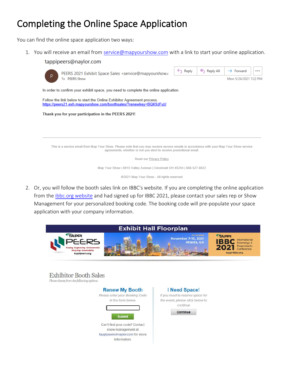# Completing the Online Space Application

You can find the online space application two ways:

1. You will receive an email from [service@mapyourshow.com](mailto:service@mapyourshow.com) with a link to start your online application.

| tappipeers@naylor.com                                                                                                                                                                                           |                    |           |                       |  |
|-----------------------------------------------------------------------------------------------------------------------------------------------------------------------------------------------------------------|--------------------|-----------|-----------------------|--|
| PEERS 2021 Exhibit Space Sales <service@mapyourshow.o< th=""><th><math>\leftarrow</math> Reply</th><th>Reply All</th><th><math>\rightarrow</math> Forward</th><th></th></service@mapyourshow.o<>                | $\leftarrow$ Reply | Reply All | $\rightarrow$ Forward |  |
| P<br>To PEERS Show                                                                                                                                                                                              |                    |           | Mon 5/24/2021 7:22 PM |  |
| In order to confirm your exhibit space, you need to complete the online application.                                                                                                                            |                    |           |                       |  |
| Follow the link below to start the Online Exhibitor Agreement process.<br>https://peers21.exh.mapyourshow.com/boothsales/?renewkey=BQK9JFuU                                                                     |                    |           |                       |  |
|                                                                                                                                                                                                                 |                    |           |                       |  |
| Thank you for your participation in the PEERS 2021!                                                                                                                                                             |                    |           |                       |  |
|                                                                                                                                                                                                                 |                    |           |                       |  |
|                                                                                                                                                                                                                 |                    |           |                       |  |
|                                                                                                                                                                                                                 |                    |           |                       |  |
|                                                                                                                                                                                                                 |                    |           |                       |  |
| This is a service email from Map Your Show. Please note that you may receive service emails in accordance with your Map Your Show service<br>agreements, whether or not you elect to receive promotional email. |                    |           |                       |  |
| Read our Privacy Policy                                                                                                                                                                                         |                    |           |                       |  |
| Map Your Show   6915 Valley Avenue   Cincinnati OH 45244   888-527-8822                                                                                                                                         |                    |           |                       |  |
| @2021 Map Your Show - All rights reserved                                                                                                                                                                       |                    |           |                       |  |

2. Or, you will follow the booth sales link on IBBC's website. If you are completing the online application from the ibbc[.org website](https://tappi-ibbc.org/exhibit-sponsor/be-an-exhibitor-or-sponsor/) and had signed up for IBBC 2021, please contact your sales rep or Show Management for your personalized booking code. The booking code will pre-populate your space application with your company information.



Can't find your code? Contact show management at tappipeers@naylor.com for more information.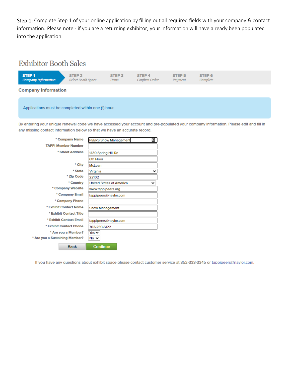Step 1: Complete Step 1 of your online application by filling out all required fields with your company & contact information. Please note - if you are a returning exhibitor, your information will have already been populated into the application.

### **Exhibitor Booth Sales**



Applications must be completed within one (1) hour.

By entering your unique renewal code we have accessed your account and pre-populated your company information. Please edit and fill in any missing contact information below so that we have an accurate record.

| * Company Name                 | ▣<br><b>PEERS Show Management</b>    |
|--------------------------------|--------------------------------------|
| <b>TAPPI Member Number</b>     |                                      |
| * Street Address               | 1430 Spring Hill Rd                  |
|                                | 6th Floor                            |
| * City                         | McLean                               |
| * State                        | Virginia<br>◡                        |
| * Zip Code                     | 22102                                |
| * Country                      | <b>United States of America</b><br>◡ |
| * Company Website              | www.tappipeers.org                   |
| * Company Email                | tappipeers@naylor.com                |
| * Company Phone                |                                      |
| * Exhibit Contact Name         | <b>Show Management</b>               |
| * Exhibit Contact Title        |                                      |
| * Exhibit Contact Email        | tappipeers@naylor.com                |
| * Exhibit Contact Phone        | 703-259-6122                         |
| * Are you a Member?            | Yes $\vee$                           |
| * Are you a Sustaining Member? | No $\vee$                            |
| <b>Back</b>                    | <b>Continue</b>                      |

If you have any questions about exhibit space please contact customer service at 352-333-3345 or tappipeers@naylor.com.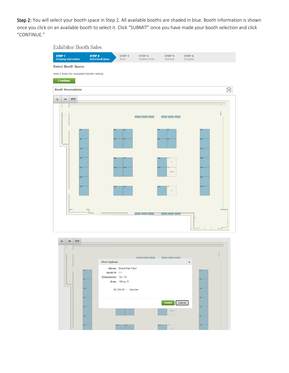Step 2: You will select your booth space in Step 2. All available booths are shaded in blue. Booth information is shown once you click on an available booth to select it. Click "SUBMIT" once you have made your booth selection and click "CONTINUE."

### **Exhibitor Booth Sales**



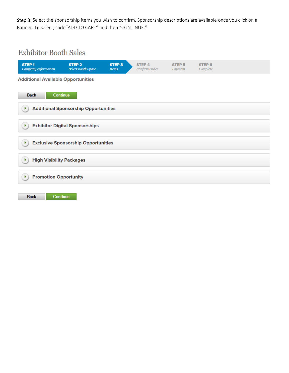Step 3: Select the sponsorship items you wish to confirm. Sponsorship descriptions are available once you click on a Banner. To select, click "ADD TO CART" and then "CONTINUE."

# **Exhibitor Booth Sales**

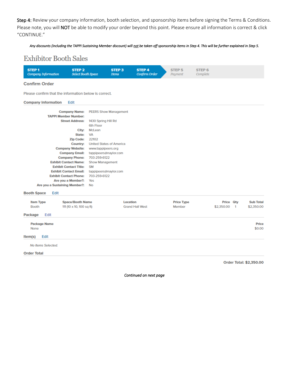Step 4: Review your company information, booth selection, and sponsorship items before signing the Terms & Conditions. Please note, you will NOT be able to modify your order beyond this point. Please ensure all information is correct & click "CONTINUE."

### *Any discounts (including the TAPPI Sustaining Member discount) will not be taken off sponsorship items in Step 4. This will be further explained in Step 5.*

## **Exhibitor Booth Sales**

| <b>STEP1</b><br>Company Information                                                        | STEP <sub>2</sub><br><b>Select Booth Space</b>                                                                                                                                                                                                                                                                                                                                                                                                        | <b>STEP 3</b><br><b>Items</b>                                                                                                                                                            | <b>STEP 4</b><br>Confirm Order | STEP <sub>5</sub><br>Payment | STEP <sub>6</sub><br>Complete |                             |                                |
|--------------------------------------------------------------------------------------------|-------------------------------------------------------------------------------------------------------------------------------------------------------------------------------------------------------------------------------------------------------------------------------------------------------------------------------------------------------------------------------------------------------------------------------------------------------|------------------------------------------------------------------------------------------------------------------------------------------------------------------------------------------|--------------------------------|------------------------------|-------------------------------|-----------------------------|--------------------------------|
| <b>Confirm Order</b>                                                                       |                                                                                                                                                                                                                                                                                                                                                                                                                                                       |                                                                                                                                                                                          |                                |                              |                               |                             |                                |
| Please confirm that the information below is correct.                                      |                                                                                                                                                                                                                                                                                                                                                                                                                                                       |                                                                                                                                                                                          |                                |                              |                               |                             |                                |
| <b>Company Information</b>                                                                 | Edit                                                                                                                                                                                                                                                                                                                                                                                                                                                  |                                                                                                                                                                                          |                                |                              |                               |                             |                                |
| <b>TAPPI Member Number:</b><br>Are you a Sustaining Member?:<br>Edit<br><b>Booth Space</b> | <b>Company Name:</b><br><b>Street Address:</b><br>6th Floor<br>City:<br>McLean<br><b>VA</b><br>State:<br><b>Zip Code:</b><br>22102<br><b>Country:</b><br><b>Company Website:</b><br><b>Company Email:</b><br>703-259-6122<br><b>Company Phone:</b><br><b>Exhibit Contact Name:</b><br><b>Exhibit Contact Title:</b><br><b>SM</b><br><b>Exhibit Contact Email:</b><br><b>Exhibit Contact Phone:</b><br>703-259-6122<br>Are you a Member?:<br>Yes<br>No | <b>PEERS Show Management</b><br>1430 Spring Hill Rd<br><b>United States of America</b><br>www.tappipeers.org<br>tappipeers@naylor.com<br><b>Show Management</b><br>tappipeers@naylor.com |                                |                              |                               |                             |                                |
| <b>Item Type</b><br><b>Booth</b>                                                           | <b>Space/Booth Name</b><br>111 (10 x 10, 100 sq ft)                                                                                                                                                                                                                                                                                                                                                                                                   | Location                                                                                                                                                                                 | <b>Grand Hall West</b>         | <b>Price Type</b><br>Member  | \$2,350.00                    | Price Qty<br>$\blacksquare$ | <b>Sub Total</b><br>\$2,350.00 |
| Edit<br><b>Package</b>                                                                     |                                                                                                                                                                                                                                                                                                                                                                                                                                                       |                                                                                                                                                                                          |                                |                              |                               |                             |                                |
| <b>Package Name</b><br>None<br>Edit<br>Item(s)                                             |                                                                                                                                                                                                                                                                                                                                                                                                                                                       |                                                                                                                                                                                          |                                |                              |                               |                             | <b>Price</b><br>\$0.00         |
| No Items Selected.                                                                         |                                                                                                                                                                                                                                                                                                                                                                                                                                                       |                                                                                                                                                                                          |                                |                              |                               |                             |                                |
| <b>Order Total</b>                                                                         |                                                                                                                                                                                                                                                                                                                                                                                                                                                       |                                                                                                                                                                                          |                                |                              |                               |                             |                                |
|                                                                                            |                                                                                                                                                                                                                                                                                                                                                                                                                                                       |                                                                                                                                                                                          |                                |                              |                               | Order Total: \$2,350.00     |                                |

*Continued on next page*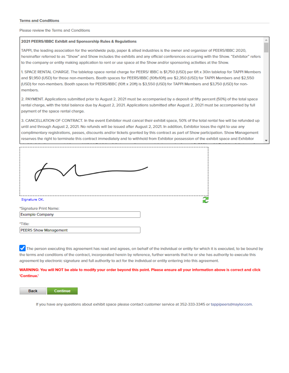Please review the Terms and Conditions

#### 2021 PEERS/IBBC Exhibit and Sponsorship Rules & Regulations

TAPPI, the leading association for the worldwide pulp, paper & allied industries is the owner and organizer of PEERS/IBBC 2020, hereinafter referred to as "Show" and Show includes the exhibits and any official conferences occurring with the Show. "Exhibitor" refers to the company or entity making application to rent or use space at the Show and/or sponsoring activities at the Show.

1. SPACE RENTAL CHARGE. The tabletop space rental charge for PEERS/IBBC is \$1,750 (USD) per 6ft x 30in tabletop for TAPPI Members and \$1,950 (USD) for those non-members. Booth spaces for PEERS/IBBC (10ftx10ft) are \$2,350 (USD) for TAPPI Members and \$2,550 (USD) for non-members. Booth spaces for PEERS/IBBC (10ft x 20ft) is \$3,550 (USD) for TAPPI Members and \$3,750 (USD) for nonmembers.

2. PAYMENT. Applications submitted prior to August 2, 2021 must be accompanied by a deposit of fifty percent (50%) of the total space rental charge, with the total balance due by August 2, 2021. Applications submitted after August 2, 2021 must be accompanied by full payment of the space rental charge.

3. CANCELLATION OF CONTRACT. In the event Exhibitor must cancel their exhibit space, 50% of the total rental fee will be refunded up until and through August 2, 2021. No refunds will be issued after August 2, 2021. In addition, Exhibitor loses the right to use any complimentary registrations, passes, discounts and/or tickets granted by this contract as part of Show participation. Show Management reserves the right to terminate this contract immediately and to withhold from Exhibitor possession of the exhibit space and Exhibitor



The person executing this agreement has read and agrees, on behalf of the individual or entity for which it is executed, to be bound by the terms and conditions of the contract, incorporated herein by reference, further warrants that he or she has authority to execute this agreement by electronic signature and full authority to act for the individual or entity entering into this agreement.

WARNING: You will NOT be able to modify your order beyond this point. Please ensure all your information above is correct and click 'Continue.'

**Back Continue** 

If you have any questions about exhibit space please contact customer service at 352-333-3345 or tappipeers@naylor.com.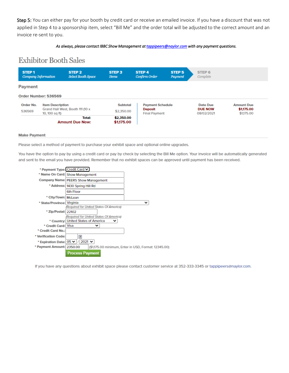Step 5: You can either pay for your booth by credit card or receive an emailed invoice. If you have a discount that was not applied in Step 4 to a sponsorship item, select "Bill Me" and the order total will be adjusted to the correct amount and an invoice re-sent to you.

#### *As always, please contact IBBC Show Management at t[appipeers@naylor.com wit](mailto:tappipeers@naylor.com)h any payment questions.*

## **Exhibitor Booth Sales**



#### **Make Payment**

Please select a method of payment to purchase your exhibit space and optional online upgrades.

You have the option to pay by using a credit card or pay by check by selecting the Bill Me option. Your invoice will be automatically generated and sent to the email you have provided. Remember that no exhibit spaces can be approved until payment has been received.

| * Payment Type: Credit Card V |                                          |                                                      |
|-------------------------------|------------------------------------------|------------------------------------------------------|
|                               | * Name On Card: Show Management          |                                                      |
|                               | Company Name: PEERS Show Management      |                                                      |
|                               | * Address: 1430 Spring Hill Rd           |                                                      |
|                               | 6th Floor                                |                                                      |
| * City/Town: McLean           |                                          |                                                      |
| * State/Province: Virginia    |                                          | v                                                    |
|                               | (Reguired for United States Of America)  |                                                      |
| * Zip/Postal: 22102           |                                          |                                                      |
|                               | (Required for United States Of America)  |                                                      |
|                               | * Country: United States of America<br>v |                                                      |
| * Credit Card: Visa           |                                          |                                                      |
| * Credit Card No.:            |                                          |                                                      |
| * Verification Code:          | $\overline{?}$                           |                                                      |
| * Expiration Date: 05 V /     | $2021$ $\vee$                            |                                                      |
| * Payment Amount: 2350.00     |                                          | (\$1,175.00 minimum, Enter in USD, Format: 12345.00) |
|                               | <b>Process Payment</b>                   |                                                      |

If you have any questions about exhibit space please contact customer service at 352-333-3345 or tappipeers@naylor.com.